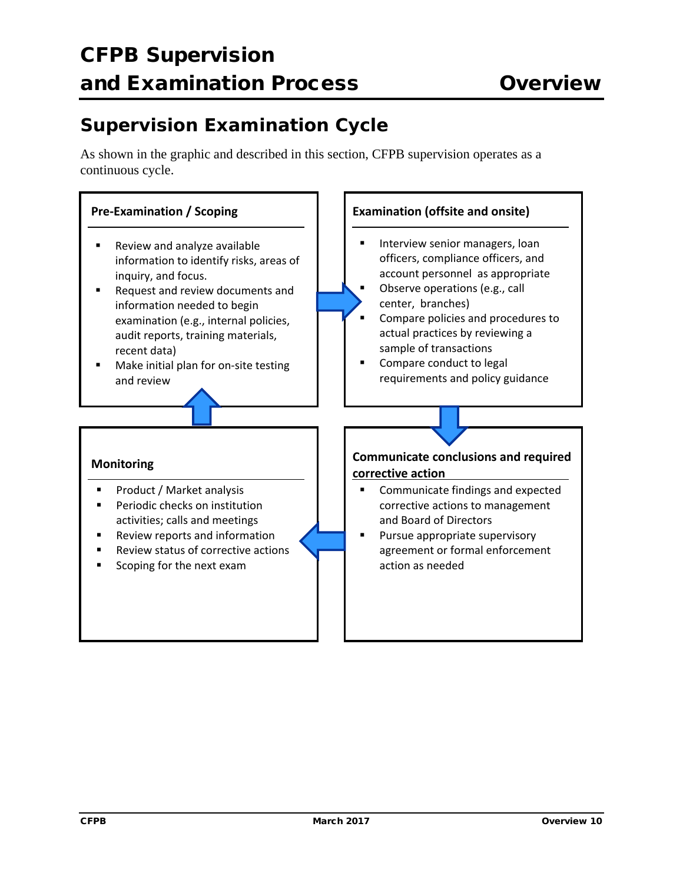## **Supervision Examination Cycle**

As shown in the graphic and described in this section, CFPB supervision operates as a continuous cycle.

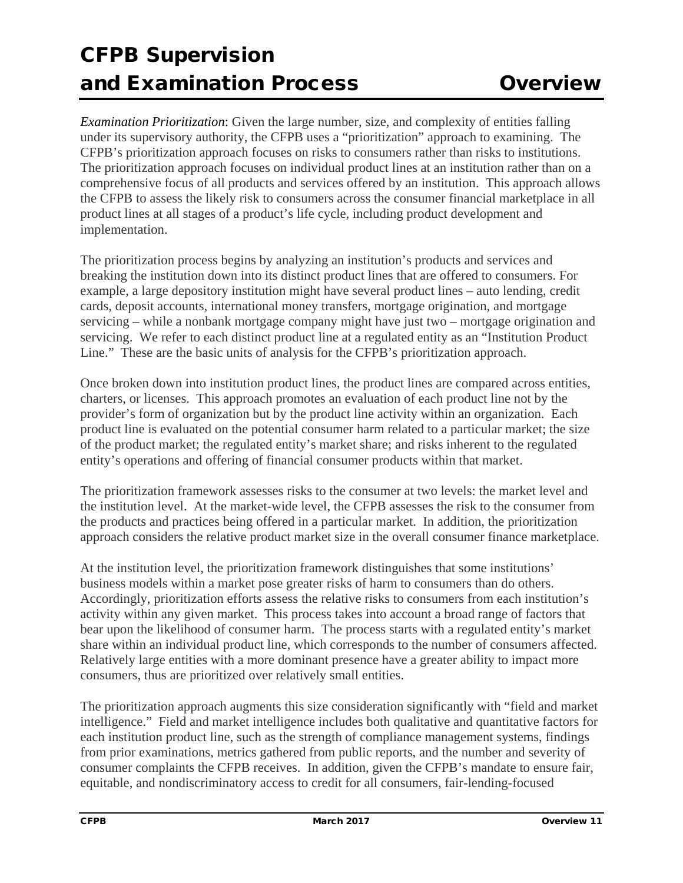## CFPB Supervision and Examination Process Overview

*Examination Prioritization*: Given the large number, size, and complexity of entities falling under its supervisory authority, the CFPB uses a "prioritization" approach to examining. The CFPB's prioritization approach focuses on risks to consumers rather than risks to institutions. The prioritization approach focuses on individual product lines at an institution rather than on a comprehensive focus of all products and services offered by an institution. This approach allows the CFPB to assess the likely risk to consumers across the consumer financial marketplace in all product lines at all stages of a product's life cycle, including product development and implementation.

The prioritization process begins by analyzing an institution's products and services and breaking the institution down into its distinct product lines that are offered to consumers. For example, a large depository institution might have several product lines – auto lending, credit cards, deposit accounts, international money transfers, mortgage origination, and mortgage servicing – while a nonbank mortgage company might have just two – mortgage origination and servicing. We refer to each distinct product line at a regulated entity as an "Institution Product Line." These are the basic units of analysis for the CFPB's prioritization approach.

Once broken down into institution product lines, the product lines are compared across entities, charters, or licenses. This approach promotes an evaluation of each product line not by the provider's form of organization but by the product line activity within an organization. Each product line is evaluated on the potential consumer harm related to a particular market; the size of the product market; the regulated entity's market share; and risks inherent to the regulated entity's operations and offering of financial consumer products within that market.

The prioritization framework assesses risks to the consumer at two levels: the market level and the institution level. At the market-wide level, the CFPB assesses the risk to the consumer from the products and practices being offered in a particular market. In addition, the prioritization approach considers the relative product market size in the overall consumer finance marketplace.

At the institution level, the prioritization framework distinguishes that some institutions' business models within a market pose greater risks of harm to consumers than do others. Accordingly, prioritization efforts assess the relative risks to consumers from each institution's activity within any given market. This process takes into account a broad range of factors that bear upon the likelihood of consumer harm. The process starts with a regulated entity's market share within an individual product line, which corresponds to the number of consumers affected. Relatively large entities with a more dominant presence have a greater ability to impact more consumers, thus are prioritized over relatively small entities.

The prioritization approach augments this size consideration significantly with "field and market intelligence." Field and market intelligence includes both qualitative and quantitative factors for each institution product line, such as the strength of compliance management systems, findings from prior examinations, metrics gathered from public reports, and the number and severity of consumer complaints the CFPB receives. In addition, given the CFPB's mandate to ensure fair, equitable, and nondiscriminatory access to credit for all consumers, fair-lending-focused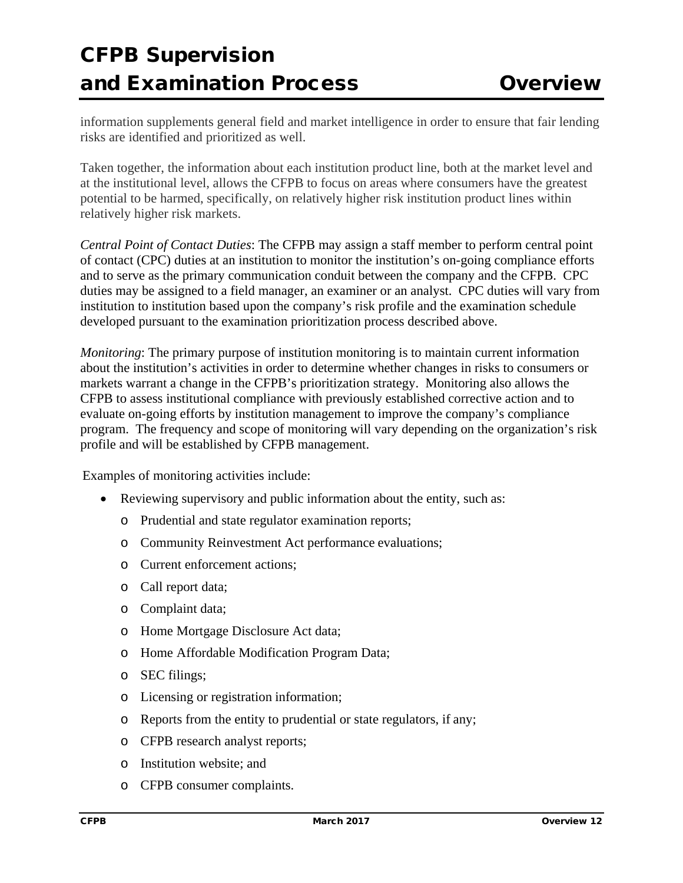## CFPB Supervision and Examination Process Overview

information supplements general field and market intelligence in order to ensure that fair lending risks are identified and prioritized as well.

Taken together, the information about each institution product line, both at the market level and at the institutional level, allows the CFPB to focus on areas where consumers have the greatest potential to be harmed, specifically, on relatively higher risk institution product lines within relatively higher risk markets.

*Central Point of Contact Duties*: The CFPB may assign a staff member to perform central point of contact (CPC) duties at an institution to monitor the institution's on-going compliance efforts and to serve as the primary communication conduit between the company and the CFPB. CPC duties may be assigned to a field manager, an examiner or an analyst. CPC duties will vary from institution to institution based upon the company's risk profile and the examination schedule developed pursuant to the examination prioritization process described above.

*Monitoring*: The primary purpose of institution monitoring is to maintain current information about the institution's activities in order to determine whether changes in risks to consumers or markets warrant a change in the CFPB's prioritization strategy. Monitoring also allows the CFPB to assess institutional compliance with previously established corrective action and to evaluate on-going efforts by institution management to improve the company's compliance program. The frequency and scope of monitoring will vary depending on the organization's risk profile and will be established by CFPB management.

Examples of monitoring activities include:

- Reviewing supervisory and public information about the entity, such as:
	- o Prudential and state regulator examination reports;
	- o Community Reinvestment Act performance evaluations;
	- o Current enforcement actions;
	- o Call report data;
	- o Complaint data;
	- o Home Mortgage Disclosure Act data;
	- o Home Affordable Modification Program Data;
	- o SEC filings;
	- o Licensing or registration information;
	- o Reports from the entity to prudential or state regulators, if any;
	- o CFPB research analyst reports;
	- o Institution website; and
	- o CFPB consumer complaints.